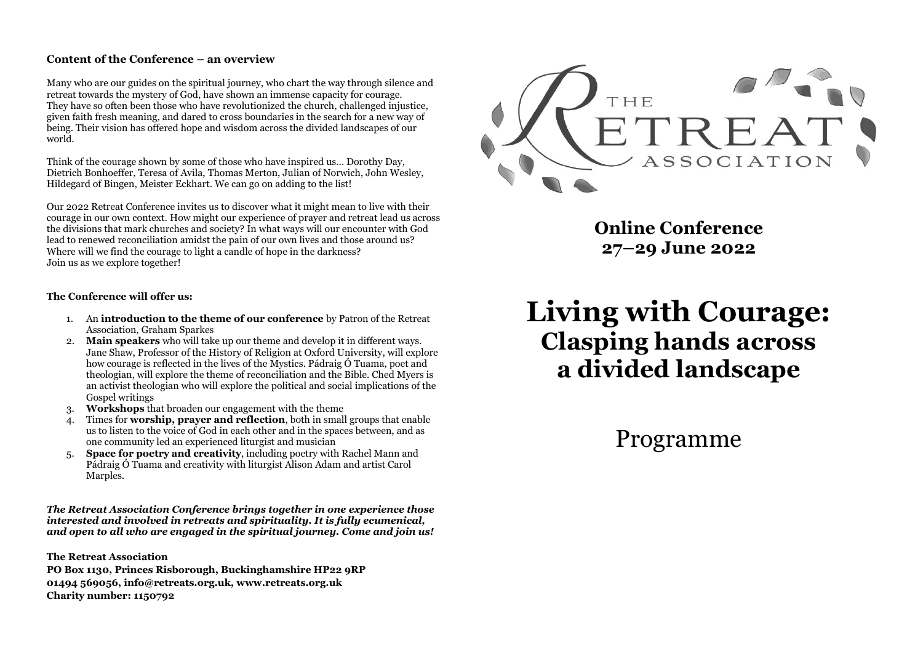#### **Content of the Conference – an overview**

Many who are our guides on the spiritual journey, who chart the way through silence and retreat towards the mystery of God, have shown an immense capacity for courage. They have so often been those who have revolutionized the church, challenged injustice, given faith fresh meaning, and dared to cross boundaries in the search for a new way of being. Their vision has offered hope and wisdom across the divided landscapes of our world.

Think of the courage shown by some of those who have inspired us… Dorothy Day, Dietrich Bonhoeffer, Teresa of Avila, Thomas Merton, Julian of Norwich, John Wesley, Hildegard of Bingen, Meister Eckhart. We can go on adding to the list!

Our 2022 Retreat Conference invites us to discover what it might mean to live with their courage in our own context. How might our experience of prayer and retreat lead us across the divisions that mark churches and society? In what ways will our encounter with God lead to renewed reconciliation amidst the pain of our own lives and those around us? Where will we find the courage to light a candle of hope in the darkness? Join us as we explore together!

#### **The Conference will offer us:**

- 1. An **introduction to the theme of our conference** by Patron of the Retreat Association, Graham Sparkes
- 2. **Main speakers** who will take up our theme and develop it in different ways. Jane Shaw, Professor of the History of Religion at Oxford University, will explore how courage is reflected in the lives of the Mystics. Pádraig Ó Tuama, poet and theologian, will explore the theme of reconciliation and the Bible. Ched Myers is an activist theologian who will explore the political and social implications of the Gospel writings
- 3. **Workshops** that broaden our engagement with the theme
- 4. Times for **worship, prayer and reflection**, both in small groups that enable us to listen to the voice of God in each other and in the spaces between, and as one community led an experienced liturgist and musician
- 5. **Space for poetry and creativity**, including poetry with Rachel Mann and Pádraig Ó Tuama and creativity with liturgist Alison Adam and artist Carol Marples.

*The Retreat Association Conference brings together in one experience those interested and involved in retreats and spirituality. It is fully ecumenical, and open to all who are engaged in the spiritual journey. Come and join us!*

**The Retreat Association**

**PO Box 1130, Princes Risborough, Buckinghamshire HP22 9RP 01494 569056, info@retreats.org.uk, www.retreats.org.uk Charity number: 1150792** 



**Online Conference 27–29 June 2022**

**Living with Courage: Clasping hands across a divided landscape**

Programme